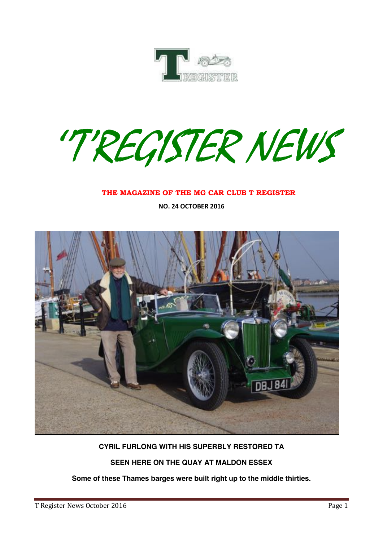

''T'REGISTER NEWS

#### **THE MAGAZINE OF THE MG CAR CLUB T REGISTER**

**NO. 24 OCTOBER 2016**



## **CYRIL FURLONG WITH HIS SUPERBLY RESTORED TA**

## **SEEN HERE ON THE QUAY AT MALDON ESSEX**

**Some of these Thames barges were built right up to the middle thirties.**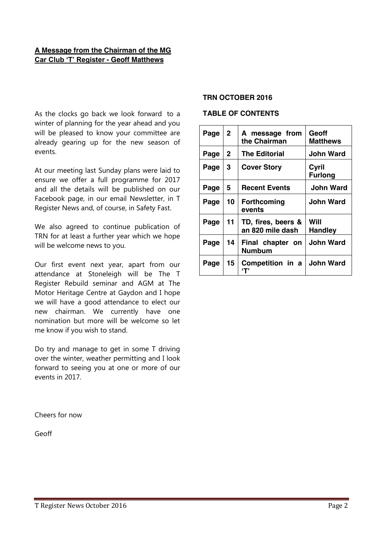## **A Message from the Chairman of the MG Car Club 'T' Register - Geoff Matthews**

As the clocks go back we look forward to a winter of planning for the year ahead and you will be pleased to know your committee are already gearing up for the new season of events.

At our meeting last Sunday plans were laid to ensure we offer a full programme for 2017 and all the details will be published on our Facebook page, in our email Newsletter, in T Register News and, of course, in Safety Fast.

We also agreed to continue publication of TRN for at least a further year which we hope will be welcome news to you.

Our first event next year, apart from our attendance at Stoneleigh will be The T Register Rebuild seminar and AGM at The Motor Heritage Centre at Gaydon and I hope we will have a good attendance to elect our new chairman. We currently have one nomination but more will be welcome so let me know if you wish to stand.

Do try and manage to get in some T driving over the winter, weather permitting and I look forward to seeing you at one or more of our events in 2017.

Cheers for now

Geoff

#### **TRN OCTOBER 2016**

#### **TABLE OF CONTENTS**

| Page | $\mathbf{2}$ | A message from<br>the Chairman         | Geoff<br>Matthews       |
|------|--------------|----------------------------------------|-------------------------|
| Page | 2            | <b>The Editorial</b>                   | John Ward               |
| Page | 3            | <b>Cover Story</b>                     | Cyril<br><b>Furlong</b> |
| Page | 5            | <b>Recent Events</b>                   | <b>John Ward</b>        |
| Page | 10           | <b>Forthcoming</b><br>events           | <b>John Ward</b>        |
| Page | 11           | TD, fires, beers &<br>an 820 mile dash | Will<br><b>Handley</b>  |
| Page | 14           | Final chapter on<br>Numbum             | <b>John Ward</b>        |
| Page | 15           | Competition in a<br>"Т'                | <b>John Ward</b>        |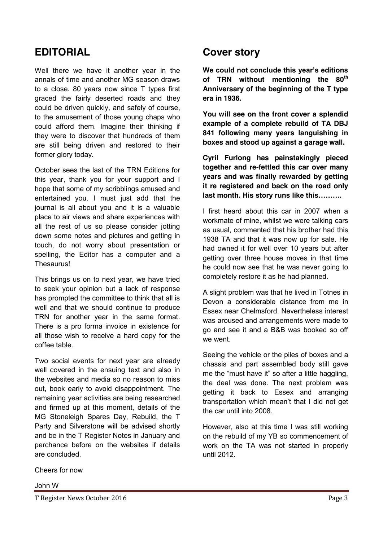## **EDITORIAL**

Well there we have it another year in the annals of time and another MG season draws to a close. 80 years now since T types first graced the fairly deserted roads and they could be driven quickly, and safely of course, to the amusement of those young chaps who could afford them. Imagine their thinking if they were to discover that hundreds of them are still being driven and restored to their former glory today.

October sees the last of the TRN Editions for this year, thank you for your support and I hope that some of my scribblings amused and entertained you. I must just add that the journal is all about you and it is a valuable place to air views and share experiences with all the rest of us so please consider jotting down some notes and pictures and getting in touch, do not worry about presentation or spelling, the Editor has a computer and a Thesaurus!

This brings us on to next year, we have tried to seek your opinion but a lack of response has prompted the committee to think that all is well and that we should continue to produce TRN for another year in the same format. There is a pro forma invoice in existence for all those wish to receive a hard copy for the coffee table.

Two social events for next year are already well covered in the ensuing text and also in the websites and media so no reason to miss out, book early to avoid disappointment. The remaining year activities are being researched and firmed up at this moment, details of the MG Stoneleigh Spares Day, Rebuild, the T Party and Silverstone will be advised shortly and be in the T Register Notes in January and perchance before on the websites if details are concluded.

Cheers for now

#### John W

T Register News October 2016 **Page 3** 

## **Cover story**

**We could not conclude this year's editions of TRN without mentioning the 80th Anniversary of the beginning of the T type era in 1936.**

**You will see on the front cover a splendid example of a complete rebuild of TA DBJ 841 following many years languishing in boxes and stood up against a garage wall.**

**Cyril Furlong has painstakingly pieced together and re-fettled this car over many years and was finally rewarded by getting it re registered and back on the road only last month. His story runs like this……….**

I first heard about this car in 2007 when a workmate of mine, whilst we were talking cars as usual, commented that his brother had this 1938 TA and that it was now up for sale. He had owned it for well over 10 years but after getting over three house moves in that time he could now see that he was never going to completely restore it as he had planned.

A slight problem was that he lived in Totnes in Devon a considerable distance from me in Essex near Chelmsford. Nevertheless interest was aroused and arrangements were made to go and see it and a B&B was booked so off we went.

Seeing the vehicle or the piles of boxes and a chassis and part assembled body still gave me the "must have it" so after a little haggling, the deal was done. The next problem was getting it back to Essex and arranging transportation which mean't that I did not get the car until into 2008.

However, also at this time I was still working on the rebuild of my YB so commencement of work on the TA was not started in properly until 2012.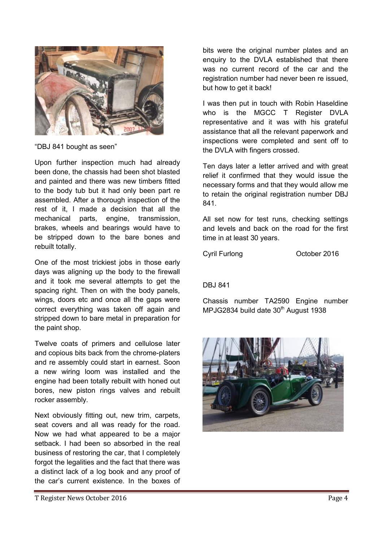

"DBJ 841 bought as seen"

Upon further inspection much had already been done, the chassis had been shot blasted and painted and there was new timbers fitted to the body tub but it had only been part re assembled. After a thorough inspection of the rest of it, I made a decision that all the mechanical parts, engine, transmission, brakes, wheels and bearings would have to be stripped down to the bare bones and rebuilt totally.

One of the most trickiest jobs in those early days was aligning up the body to the firewall and it took me several attempts to get the spacing right. Then on with the body panels, wings, doors etc and once all the gaps were correct everything was taken off again and stripped down to bare metal in preparation for the paint shop.

Twelve coats of primers and cellulose later and copious bits back from the chrome-platers and re assembly could start in earnest. Soon a new wiring loom was installed and the engine had been totally rebuilt with honed out bores, new piston rings valves and rebuilt rocker assembly.

Next obviously fitting out, new trim, carpets, seat covers and all was ready for the road. Now we had what appeared to be a major setback. I had been so absorbed in the real business of restoring the car, that I completely forgot the legalities and the fact that there was a distinct lack of a log book and any proof of the car's current existence. In the boxes of bits were the original number plates and an enquiry to the DVLA established that there was no current record of the car and the registration number had never been re issued, but how to get it back!

I was then put in touch with Robin Haseldine who is the MGCC T Register DVLA representative and it was with his grateful assistance that all the relevant paperwork and inspections were completed and sent off to the DVLA with fingers crossed.

Ten days later a letter arrived and with great relief it confirmed that they would issue the necessary forms and that they would allow me to retain the original registration number DBJ 841.

All set now for test runs, checking settings and levels and back on the road for the first time in at least 30 years.

Cyril Furlong **Cyril Furlong COLOGIC COLOGIC OCTOBER** 

DBJ 841

Chassis number TA2590 Engine number MPJG2834 build date 30<sup>th</sup> August 1938



T Register News October 2016 **Page 4**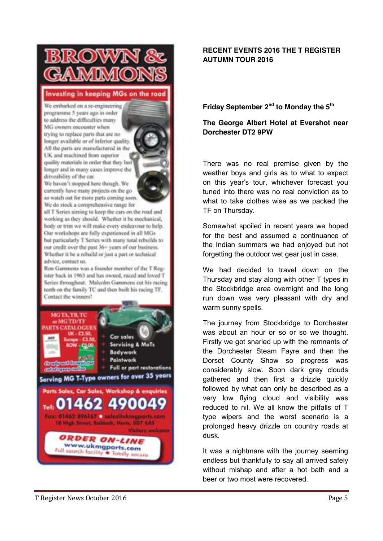## Investing in keeping MGs on the road

We embarked on a re-engineering programme 5 years ago in order to address the difficulties many MG owners encounter when trying to replace parts that are no longer available or of inferior quality. All the parts are manufactured in the UK and machined from superior quality materials in order that they last longer and in many cases improve the driveability of the car.

We haven't stopped here though. We currently have many projects on the goso watch out for more parts coming soon. We do stock a comprehensive range for

all T Series aiming to keep the cars on the road and working as they should. Whether it be mechanical, body or trim we will make every endeavour to help. Our workshops are fully experienced in all MGs but particularly T Series with many total rebuilds to our credit over the past 36+ years of our business. Whether it be a rebuild or just a part or technical advice, contact us.

Ron Gammons was a founder member of the T Register back in 1963 and has owned, raced and loved T Series throughout. Malcolm Gammons cut his racing teeth on the family TC and then built his racing TF. Contact the winners!



## **RECENT EVENTS 2016 THE T REGISTER AUTUMN TOUR 2016**

## **Friday September 2nd to Monday the 5th**

## **The George Albert Hotel at Evershot near Dorchester DT2 9PW**

There was no real premise given by the weather boys and girls as to what to expect on this year's tour, whichever forecast you tuned into there was no real conviction as to what to take clothes wise as we packed the TF on Thursday.

Somewhat spoiled in recent years we hoped for the best and assumed a continuance of the Indian summers we had enjoyed but not forgetting the outdoor wet gear just in case.

We had decided to travel down on the Thursday and stay along with other T types in the Stockbridge area overnight and the long run down was very pleasant with dry and warm sunny spells.

The journey from Stockbridge to Dorchester was about an hour or so or so we thought. Firstly we got snarled up with the remnants of the Dorchester Steam Fayre and then the Dorset County Show so progress was considerably slow. Soon dark grey clouds gathered and then first a drizzle quickly followed by what can only be described as a very low flying cloud and visibility was reduced to nil. We all know the pitfalls of T type wipers and the worst scenario is a prolonged heavy drizzle on country roads at dusk.

It was a nightmare with the journey seeming endless but thankfully to say all arrived safely without mishap and after a hot bath and a beer or two most were recovered.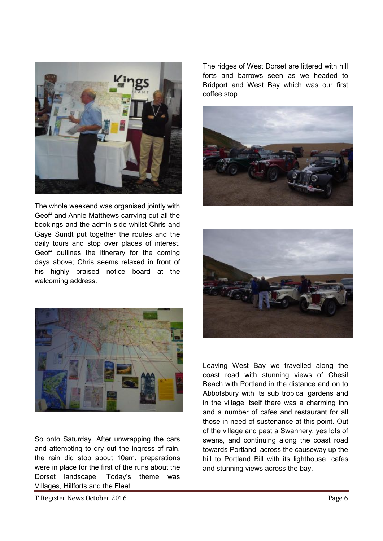

The whole weekend was organised jointly with Geoff and Annie Matthews carrying out all the bookings and the admin side whilst Chris and Gaye Sundt put together the routes and the daily tours and stop over places of interest. Geoff outlines the itinerary for the coming days above; Chris seems relaxed in front of his highly praised notice board at the welcoming address.











So onto Saturday. After unwrapping the cars and attempting to dry out the ingress of rain, the rain did stop about 10am, preparations were in place for the first of the runs about the Dorset landscape. Today's theme was Villages, Hillforts and the Fleet.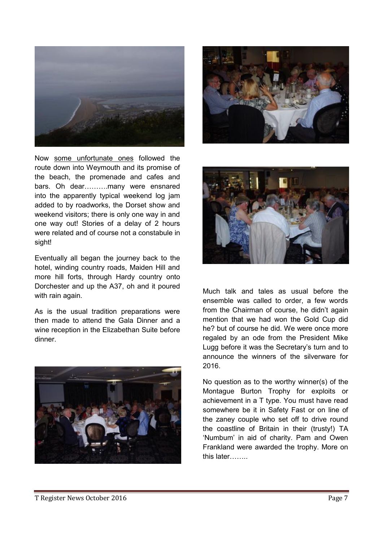

Now some unfortunate ones followed the route down into Weymouth and its promise of the beach, the promenade and cafes and bars. Oh dear……….many were ensnared into the apparently typical weekend log jam added to by roadworks, the Dorset show and weekend visitors; there is only one way in and one way out! Stories of a delay of 2 hours were related and of course not a constabule in sight!

Eventually all began the journey back to the hotel, winding country roads, Maiden Hill and more hill forts, through Hardy country onto Dorchester and up the A37, oh and it poured with rain again.

As is the usual tradition preparations were then made to attend the Gala Dinner and a wine reception in the Elizabethan Suite before dinner.







Much talk and tales as usual before the ensemble was called to order, a few words from the Chairman of course, he didn't again mention that we had won the Gold Cup did he? but of course he did. We were once more regaled by an ode from the President Mike Lugg before it was the Secretary's turn and to announce the winners of the silverware for 2016.

No question as to the worthy winner(s) of the Montague Burton Trophy for exploits or achievement in a T type. You must have read somewhere be it in Safety Fast or on line of the zaney couple who set off to drive round the coastline of Britain in their (trusty!) TA 'Numbum' in aid of charity. Pam and Owen Frankland were awarded the trophy. More on this later……..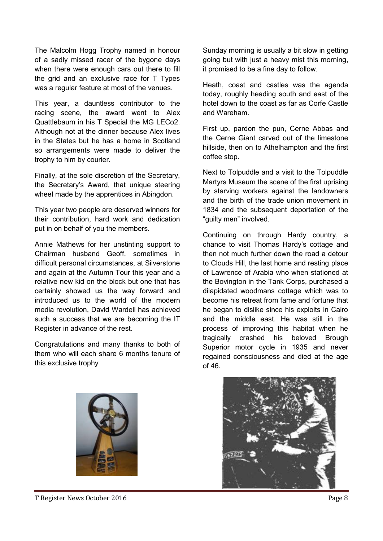The Malcolm Hogg Trophy named in honour of a sadly missed racer of the bygone days when there were enough cars out there to fill the grid and an exclusive race for T Types was a regular feature at most of the venues.

This year, a dauntless contributor to the racing scene, the award went to Alex Quattlebaum in his T Special the MG LECo2. Although not at the dinner because Alex lives in the States but he has a home in Scotland so arrangements were made to deliver the trophy to him by courier.

Finally, at the sole discretion of the Secretary, the Secretary's Award, that unique steering wheel made by the apprentices in Abingdon.

This year two people are deserved winners for their contribution, hard work and dedication put in on behalf of you the members.

Annie Mathews for her unstinting support to Chairman husband Geoff, sometimes in difficult personal circumstances, at Silverstone and again at the Autumn Tour this year and a relative new kid on the block but one that has certainly showed us the way forward and introduced us to the world of the modern media revolution, David Wardell has achieved such a success that we are becoming the IT Register in advance of the rest.

Congratulations and many thanks to both of them who will each share 6 months tenure of this exclusive trophy

Sunday morning is usually a bit slow in getting going but with just a heavy mist this morning, it promised to be a fine day to follow.

Heath, coast and castles was the agenda today, roughly heading south and east of the hotel down to the coast as far as Corfe Castle and Wareham.

First up, pardon the pun, Cerne Abbas and the Cerne Giant carved out of the limestone hillside, then on to Athelhampton and the first coffee stop.

Next to Tolpuddle and a visit to the Tolpuddle Martyrs Museum the scene of the first uprising by starving workers against the landowners and the birth of the trade union movement in 1834 and the subsequent deportation of the "guilty men" involved.

Continuing on through Hardy country, a chance to visit Thomas Hardy's cottage and then not much further down the road a detour to Clouds Hill, the last home and resting place of Lawrence of Arabia who when stationed at the Bovington in the Tank Corps, purchased a dilapidated woodmans cottage which was to become his retreat from fame and fortune that he began to dislike since his exploits in Cairo and the middle east. He was still in the process of improving this habitat when he tragically crashed his beloved Brough Superior motor cycle in 1935 and never regained consciousness and died at the age of 46.





T Register News October 2016 **Page 8**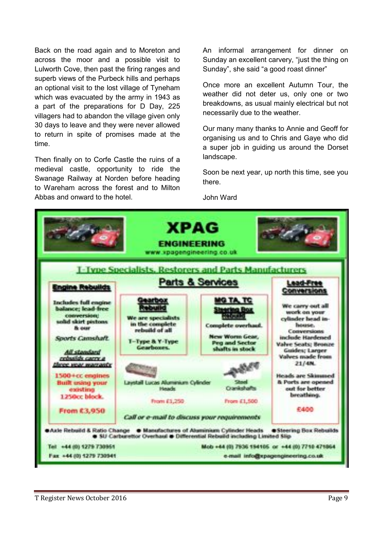Back on the road again and to Moreton and across the moor and a possible visit to Lulworth Cove, then past the firing ranges and superb views of the Purbeck hills and perhaps an optional visit to the lost village of Tyneham which was evacuated by the army in 1943 as a part of the preparations for D Day, 225 villagers had to abandon the village given only 30 days to leave and they were never allowed to return in spite of promises made at the time.

Then finally on to Corfe Castle the ruins of a medieval castle, opportunity to ride the Swanage Railway at Norden before heading to Wareham across the forest and to Milton Abbas and onward to the hotel.

An informal arrangement for dinner on Sunday an excellent carvery, "just the thing on Sunday", she said "a good roast dinner"

Once more an excellent Autumn Tour, the weather did not deter us, only one or two breakdowns, as usual mainly electrical but not necessarily due to the weather.

Our many many thanks to Annie and Geoff for organising us and to Chris and Gaye who did a super job in guiding us around the Dorset landscape.

Soon be next year, up north this time, see you there.

John Ward

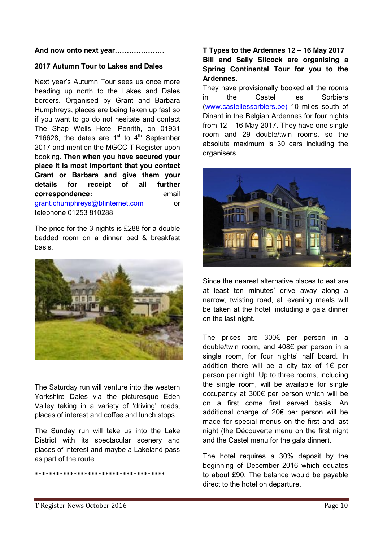#### **And now onto next year…………………**

#### **2017 Autumn Tour to Lakes and Dales**

Next year's Autumn Tour sees us once more heading up north to the Lakes and Dales borders. Organised by Grant and Barbara Humphreys, places are being taken up fast so if you want to go do not hesitate and contact The Shap Wells Hotel Penrith, on 01931 716628, the dates are  $1<sup>st</sup>$  to  $4<sup>th</sup>$  September 2017 and mention the MGCC T Register upon booking. **Then when you have secured your place it is most important that you contact Grant or Barbara and give them your details for receipt of all further correspondence:** email [grant.chumphreys@btinternet.com](mailto:grant.chumphreys@btinternet.com) or telephone 01253 810288

The price for the 3 nights is £288 for a double bedded room on a dinner bed & breakfast basis.



The Saturday run will venture into the western Yorkshire Dales via the picturesque Eden Valley taking in a variety of 'driving' roads, places of interest and coffee and lunch stops.

The Sunday run will take us into the Lake District with its spectacular scenery and places of interest and maybe a Lakeland pass as part of the route.

\*\*\*\*\*\*\*\*\*\*\*\*\*\*\*\*\*\*\*\*\*\*\*\*\*\*\*\*\*\*\*\*\*\*\*\*\*

## **T Types to the Ardennes 12 – 16 May 2017 Bill and Sally Silcock are organising a Spring Continental Tour for you to the Ardennes.**

They have provisionally booked all the rooms in the Castel les Sorbiers [\(www.castellessorbiers.be\)](http://www.castellessorbiers.be/) 10 miles south of Dinant in the Belgian Ardennes for four nights from 12 – 16 May 2017. They have one single room and 29 double/twin rooms, so the absolute maximum is 30 cars including the organisers.



Since the nearest alternative places to eat are at least ten minutes' drive away along a narrow, twisting road, all evening meals will be taken at the hotel, including a gala dinner on the last night.

The prices are 300€ per person in a double/twin room, and 408€ per person in a single room, for four nights' half board. In addition there will be a city tax of 1€ per person per night. Up to three rooms, including the single room, will be available for single occupancy at 300€ per person which will be on a first come first served basis. An additional charge of 20€ per person will be made for special menus on the first and last night (the Découverte menu on the first night and the Castel menu for the gala dinner).

The hotel requires a 30% deposit by the beginning of December 2016 which equates to about £90. The balance would be payable direct to the hotel on departure.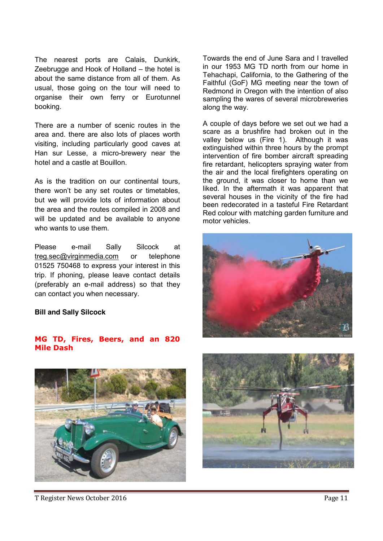The nearest ports are Calais, Dunkirk, Zeebrugge and Hook of Holland – the hotel is about the same distance from all of them. As usual, those going on the tour will need to organise their own ferry or Eurotunnel booking.

There are a number of scenic routes in the area and. there are also lots of places worth visiting, including particularly good caves at Han sur Lesse, a micro-brewery near the hotel and a castle at Bouillon.

As is the tradition on our continental tours, there won't be any set routes or timetables, but we will provide lots of information about the area and the routes compiled in 2008 and will be updated and be available to anyone who wants to use them.

Please e-mail Sally Silcock at treg.sec@virginmedia.com or telephone 01525 750468 to express your interest in this trip. If phoning, please leave contact details (preferably an e-mail address) so that they can contact you when necessary.

#### **Bill and Sally Silcock**

#### **MG TD, Fires, Beers, and an 820 Mile Dash**

T Register News October 2016 Page 11

Towards the end of June Sara and I travelled in our 1953 MG TD north from our home in Tehachapi, California, to the Gathering of the Faithful (GoF) MG meeting near the town of Redmond in Oregon with the intention of also sampling the wares of several microbreweries along the way.

A couple of days before we set out we had a scare as a brushfire had broken out in the valley below us (Fire 1). Although it was extinguished within three hours by the prompt intervention of fire bomber aircraft spreading fire retardant, helicopters spraying water from the air and the local firefighters operating on the ground, it was closer to home than we liked. In the aftermath it was apparent that several houses in the vicinity of the fire had been redecorated in a tasteful Fire Retardant Red colour with matching garden furniture and motor vehicles.





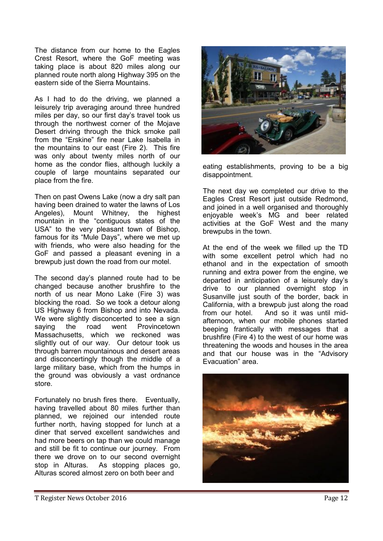The distance from our home to the Eagles Crest Resort, where the GoF meeting was taking place is about 820 miles along our planned route north along Highway 395 on the eastern side of the Sierra Mountains.

As I had to do the driving, we planned a leisurely trip averaging around three hundred miles per day, so our first day's travel took us through the northwest corner of the Mojave Desert driving through the thick smoke pall from the "Erskine" fire near Lake Isabella in the mountains to our east (Fire 2). This fire was only about twenty miles north of our home as the condor flies, although luckily a couple of large mountains separated our place from the fire.

Then on past Owens Lake (now a dry salt pan having been drained to water the lawns of Los Angeles), Mount Whitney, the highest mountain in the "contiguous states of the USA" to the very pleasant town of Bishop, famous for its "Mule Days", where we met up with friends, who were also heading for the GoF and passed a pleasant evening in a brewpub just down the road from our motel.

The second day's planned route had to be changed because another brushfire to the north of us near Mono Lake (Fire 3) was blocking the road. So we took a detour along US Highway 6 from Bishop and into Nevada. We were slightly disconcerted to see a sign saying the road went Provincetown Massachusetts, which we reckoned was slightly out of our way. Our detour took us through barren mountainous and desert areas and disconcertingly though the middle of a large military base, which from the humps in the ground was obviously a vast ordnance store.

Fortunately no brush fires there. Eventually, having travelled about 80 miles further than planned, we rejoined our intended route further north, having stopped for lunch at a diner that served excellent sandwiches and had more beers on tap than we could manage and still be fit to continue our journey. From there we drove on to our second overnight stop in Alturas. As stopping places go, Alturas scored almost zero on both beer and



eating establishments, proving to be a big disappointment.

The next day we completed our drive to the Eagles Crest Resort just outside Redmond, and joined in a well organised and thoroughly enjoyable week's MG and beer related activities at the GoF West and the many brewpubs in the town.

At the end of the week we filled up the TD with some excellent petrol which had no ethanol and in the expectation of smooth running and extra power from the engine, we departed in anticipation of a leisurely day's drive to our planned overnight stop in Susanville just south of the border, back in California, with a brewpub just along the road from our hotel. And so it was until midafternoon, when our mobile phones started beeping frantically with messages that a brushfire (Fire 4) to the west of our home was threatening the woods and houses in the area and that our house was in the "Advisory Evacuation" area.

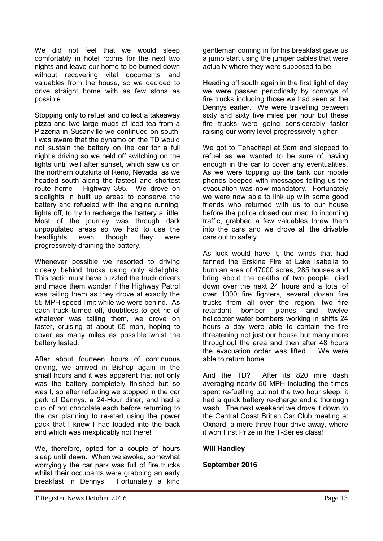We did not feel that we would sleep comfortably in hotel rooms for the next two nights and leave our home to be burned down without recovering vital documents and valuables from the house, so we decided to drive straight home with as few stops as possible.

Stopping only to refuel and collect a takeaway pizza and two large mugs of iced tea from a Pizzeria in Susanville we continued on south. I was aware that the dynamo on the TD would not sustain the battery on the car for a full night's driving so we held off switching on the lights until well after sunset, which saw us on the northern outskirts of Reno, Nevada, as we headed south along the fastest and shortest route home - Highway 395. We drove on sidelights in built up areas to conserve the battery and refueled with the engine running, lights off, to try to recharge the battery a little. Most of the journey was through dark unpopulated areas so we had to use the headlights even though they were progressively draining the battery.

Whenever possible we resorted to driving closely behind trucks using only sidelights. This tactic must have puzzled the truck drivers and made them wonder if the Highway Patrol was tailing them as they drove at exactly the 55 MPH speed limit while we were behind. As each truck turned off, doubtless to get rid of whatever was tailing them, we drove on faster, cruising at about 65 mph, hoping to cover as many miles as possible whist the battery lasted.

After about fourteen hours of continuous driving, we arrived in Bishop again in the small hours and it was apparent that not only was the battery completely finished but so was I, so after refueling we stopped in the car park of Dennys, a 24-Hour diner, and had a cup of hot chocolate each before returning to the car planning to re-start using the power pack that I knew I had loaded into the back and which was inexplicably not there!

We, therefore, opted for a couple of hours sleep until dawn. When we awoke, somewhat worryingly the car park was full of fire trucks whilst their occupants were grabbing an early breakfast in Dennys. Fortunately a kind gentleman coming in for his breakfast gave us a jump start using the jumper cables that were actually where they were supposed to be.

Heading off south again in the first light of day we were passed periodically by convoys of fire trucks including those we had seen at the Dennys earlier. We were travelling between sixty and sixty five miles per hour but these fire trucks were going considerably faster raising our worry level progressively higher.

We got to Tehachapi at 9am and stopped to refuel as we wanted to be sure of having enough in the car to cover any eventualities. As we were topping up the tank our mobile phones beeped with messages telling us the evacuation was now mandatory. Fortunately we were now able to link up with some good friends who returned with us to our house before the police closed our road to incoming traffic, grabbed a few valuables threw them into the cars and we drove all the drivable cars out to safety.

As luck would have it, the winds that had fanned the Erskine Fire at Lake Isabella to burn an area of 47000 acres, 285 houses and bring about the deaths of two people, died down over the next 24 hours and a total of over 1000 fire fighters, several dozen fire trucks from all over the region, two fire retardant bomber planes and twelve helicopter water bombers working in shifts 24 hours a day were able to contain the fire threatening not just our house but many more throughout the area and then after 48 hours the evacuation order was lifted. We were able to return home.

And the TD? After its 820 mile dash averaging nearly 50 MPH including the times spent re-fuelling but not the two hour sleep, it had a quick battery re-charge and a thorough wash. The next weekend we drove it down to the Central Coast British Car Club meeting at Oxnard, a mere three hour drive away, where it won First Prize in the T-Series class!

## **Will Handley**

## **September 2016**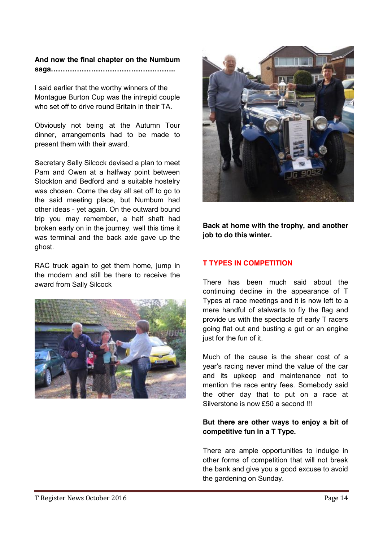## **And now the final chapter on the Numbum saga……………………………………………..**

I said earlier that the worthy winners of the Montague Burton Cup was the intrepid couple who set off to drive round Britain in their TA.

Obviously not being at the Autumn Tour dinner, arrangements had to be made to present them with their award.

Secretary Sally Silcock devised a plan to meet Pam and Owen at a halfway point between Stockton and Bedford and a suitable hostelry was chosen. Come the day all set off to go to the said meeting place, but Numbum had other ideas - yet again. On the outward bound trip you may remember, a half shaft had broken early on in the journey, well this time it was terminal and the back axle gave up the ghost.

RAC truck again to get them home, jump in the modern and still be there to receive the award from Sally Silcock





**Back at home with the trophy, and another job to do this winter.**

## **T TYPES IN COMPETITION**

There has been much said about the continuing decline in the appearance of T Types at race meetings and it is now left to a mere handful of stalwarts to fly the flag and provide us with the spectacle of early T racers going flat out and busting a gut or an engine just for the fun of it.

Much of the cause is the shear cost of a year's racing never mind the value of the car and its upkeep and maintenance not to mention the race entry fees. Somebody said the other day that to put on a race at Silverstone is now £50 a second !!!

## **But there are other ways to enjoy a bit of competitive fun in a T Type.**

There are ample opportunities to indulge in other forms of competition that will not break the bank and give you a good excuse to avoid the gardening on Sunday.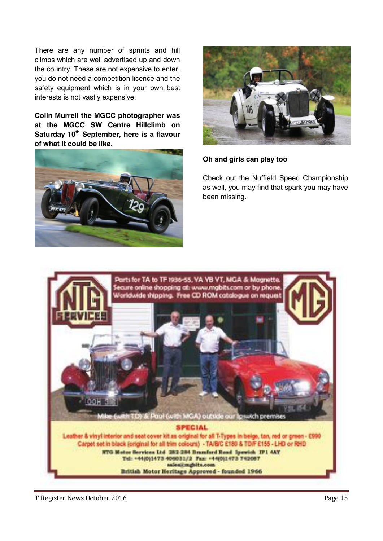There are any number of sprints and hill climbs which are well advertised up and down the country. These are not expensive to enter, you do not need a competition licence and the safety equipment which is in your own best interests is not vastly expensive.

**Colin Murrell the MGCC photographer was at the MGCC SW Centre Hillclimb on**  Saturday 10<sup>th</sup> September, here is a flavour **of what it could be like.**





## **Oh and girls can play too**

Check out the Nuffield Speed Championship as well, you may find that spark you may have been missing.



T Register News October 2016 Page 15